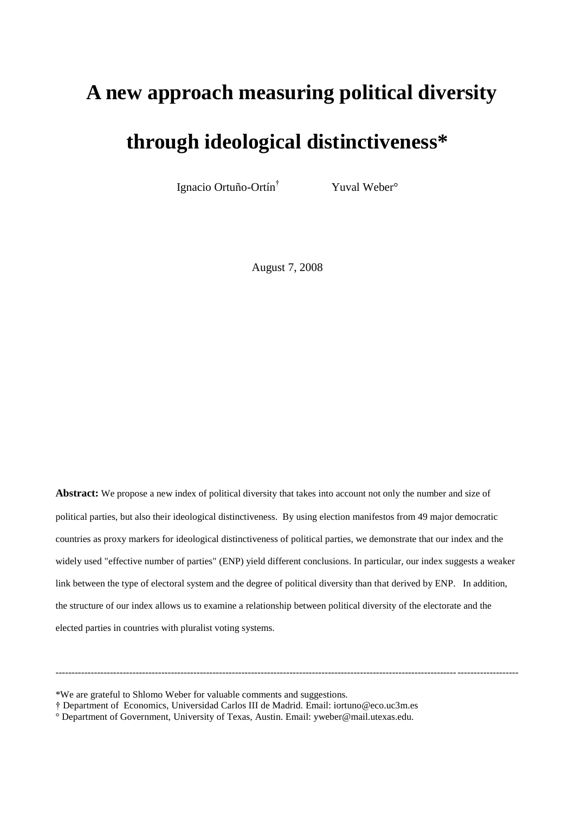## **A new approach measuring political diversity**

# **through ideological distinctiveness\***

Ignacio Ortuño-Ortín†

Yuval Weber<sup>o</sup>

August 7, 2008

**Abstract:** We propose a new index of political diversity that takes into account not only the number and size of political parties, but also their ideological distinctiveness. By using election manifestos from 49 major democratic countries as proxy markers for ideological distinctiveness of political parties, we demonstrate that our index and the widely used "effective number of parties" (ENP) yield different conclusions. In particular, our index suggests a weaker link between the type of electoral system and the degree of political diversity than that derived by ENP. In addition, the structure of our index allows us to examine a relationship between political diversity of the electorate and the elected parties in countries with pluralist voting systems.

------------------------------------------------------------------------------------------------------------------------------------------------

\*We are grateful to Shlomo Weber for valuable comments and suggestions.

<sup>†</sup> Department of Economics, Universidad Carlos III de Madrid. Email[: iortuno@eco.uc3m.es](mailto:iortuno@eco.uc3m.es)

<sup>°</sup> Department of Government, University of Texas, Austin. Email: yweber@mail.utexas.edu.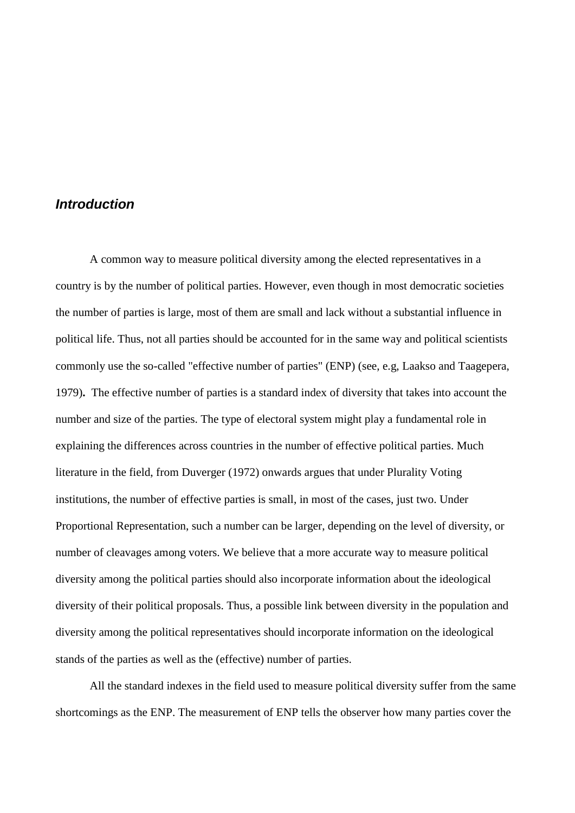## *Introduction*

A common way to measure political diversity among the elected representatives in a country is by the number of political parties. However, even though in most democratic societies the number of parties is large, most of them are small and lack without a substantial influence in political life. Thus, not all parties should be accounted for in the same way and political scientists commonly use the so-called "effective number of parties" (ENP) (see, e.g, Laakso and Taagepera, 1979)**.** The effective number of parties is a standard index of diversity that takes into account the number and size of the parties. The type of electoral system might play a fundamental role in explaining the differences across countries in the number of effective political parties. Much literature in the field, from Duverger (1972) onwards argues that under Plurality Voting institutions, the number of effective parties is small, in most of the cases, just two. Under Proportional Representation, such a number can be larger, depending on the level of diversity, or number of cleavages among voters. We believe that a more accurate way to measure political diversity among the political parties should also incorporate information about the ideological diversity of their political proposals. Thus, a possible link between diversity in the population and diversity among the political representatives should incorporate information on the ideological stands of the parties as well as the (effective) number of parties.

All the standard indexes in the field used to measure political diversity suffer from the same shortcomings as the ENP. The measurement of ENP tells the observer how many parties cover the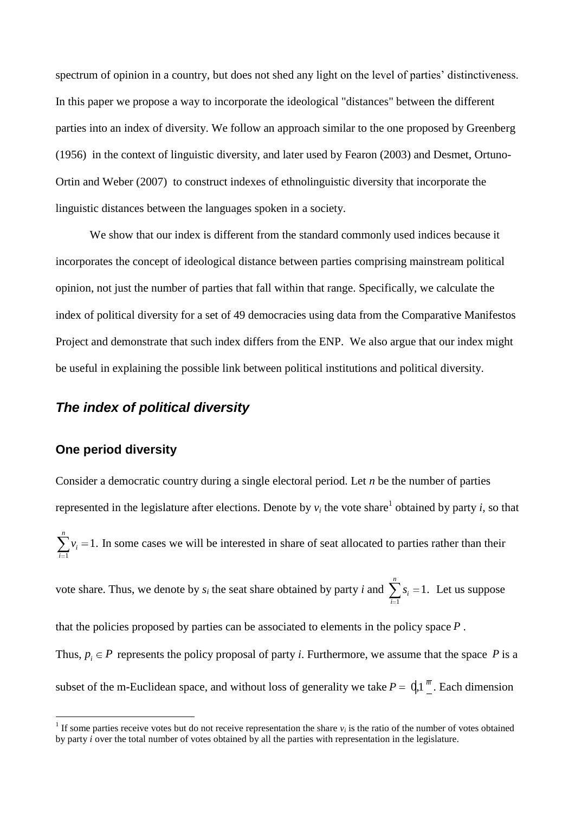spectrum of opinion in a country, but does not shed any light on the level of parties' distinctiveness. In this paper we propose a way to incorporate the ideological "distances" between the different parties into an index of diversity. We follow an approach similar to the one proposed by Greenberg (1956) in the context of linguistic diversity, and later used by Fearon (2003) and Desmet, Ortuno-Ortin and Weber (2007) to construct indexes of ethnolinguistic diversity that incorporate the linguistic distances between the languages spoken in a society.

We show that our index is different from the standard commonly used indices because it incorporates the concept of ideological distance between parties comprising mainstream political opinion, not just the number of parties that fall within that range. Specifically, we calculate the index of political diversity for a set of 49 democracies using data from the Comparative Manifestos Project and demonstrate that such index differs from the ENP. We also argue that our index might be useful in explaining the possible link between political institutions and political diversity.

## *The index of political diversity*

## **One period diversity**

 $\overline{a}$ 

Consider a democratic country during a single electoral period. Let *n* be the number of parties represented in the legislature after elections. Denote by  $v_i$  the vote share<sup>1</sup> obtained by party *i*, so that

*n i*  $v_i = 1$ . In some cases we will be interested in share of seat allocated to parties rather than their 1

vote share. Thus, we denote by *s<sup>i</sup>* the seat share obtained by party *i* and 1 1. *n i i*  $s_i = 1$ . Let us suppose

that the policies proposed by parties can be associated to elements in the policy space *P* . Thus,  $p_i \in P$  represents the policy proposal of party *i*. Furthermore, we assume that the space P is a subset of the m-Euclidean space, and without loss of generality we take  $P = \mathrm{d}1^{\overline{m}}$ . Each dimension

<sup>&</sup>lt;sup>1</sup> If some parties receive votes but do not receive representation the share  $v_i$  is the ratio of the number of votes obtained by party *i* over the total number of votes obtained by all the parties with representation in the legislature.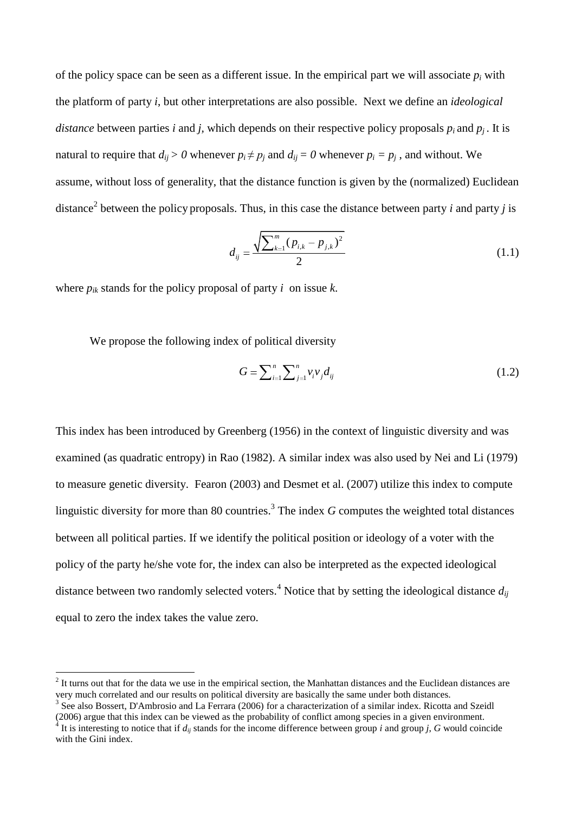of the policy space can be seen as a different issue. In the empirical part we will associate  $p_i$  with the platform of party *i*, but other interpretations are also possible. Next we define an *ideological distance* between parties *i* and *j*, which depends on their respective policy proposals  $p_i$  and  $p_j$ . It is natural to require that  $d_{ij} > 0$  whenever  $p_i \neq p_j$  and  $d_{ij} = 0$  whenever  $p_i = p_j$ , and without. We assume, without loss of generality, that the distance function is given by the (normalized) Euclidean distance<sup>2</sup> between the policy proposals. Thus, in this case the distance between party *i* and party *j* is

$$
d_{ij} = \frac{\sqrt{\sum_{k=1}^{m} (p_{i,k} - p_{j,k})^2}}{2}
$$
 (1.1)

where  $p_{ik}$  stands for the policy proposal of party *i* on issue *k*.

We propose the following index of political diversity

$$
G = \sum_{i=1}^{n} \sum_{j=1}^{n} v_i v_j d_{ij}
$$
 (1.2)

This index has been introduced by Greenberg (1956) in the context of linguistic diversity and was examined (as quadratic entropy) in Rao (1982). A similar index was also used by Nei and Li (1979) to measure genetic diversity. Fearon (2003) and Desmet et al. (2007) utilize this index to compute linguistic diversity for more than 80 countries. 3 The index *G* computes the weighted total distances between all political parties. If we identify the political position or ideology of a voter with the policy of the party he/she vote for, the index can also be interpreted as the expected ideological distance between two randomly selected voters. <sup>4</sup> Notice that by setting the ideological distance *dij* equal to zero the index takes the value zero.

 $\overline{a}$ 

 $2<sup>2</sup>$  It turns out that for the data we use in the empirical section, the Manhattan distances and the Euclidean distances are very much correlated and our results on political diversity are basically the same under both distances.

<sup>&</sup>lt;sup>3</sup> See also Bossert, D'Ambrosio and La Ferrara (2006) for a characterization of a similar index. Ricotta and Szeidl (2006) argue that this index can be viewed as the probability of conflict among species in a given environment.  $^4$  It is interesting to notice that if  $d_{ij}$  stands for the income difference between group *i* and group *j*, *G* would coincide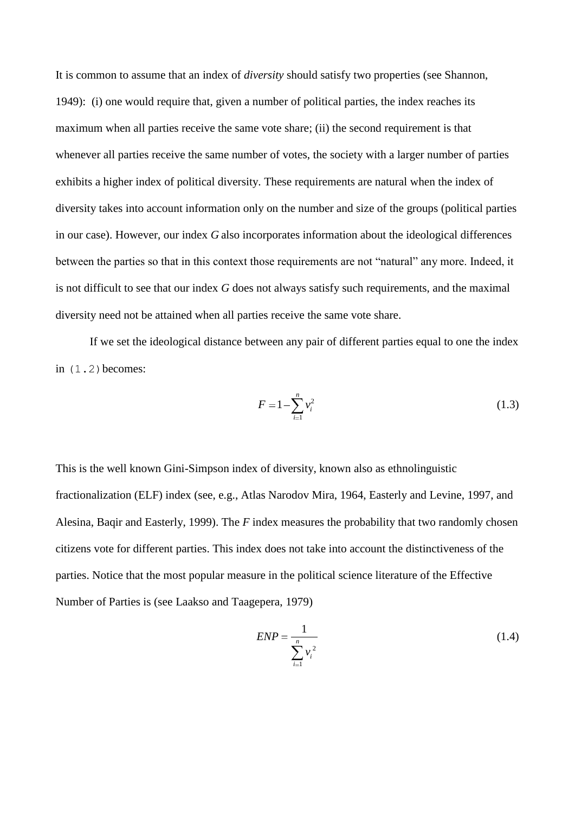It is common to assume that an index of *diversity* should satisfy two properties (see Shannon, 1949): (i) one would require that, given a number of political parties, the index reaches its maximum when all parties receive the same vote share; (ii) the second requirement is that whenever all parties receive the same number of votes, the society with a larger number of parties exhibits a higher index of political diversity. These requirements are natural when the index of diversity takes into account information only on the number and size of the groups (political parties in our case). However, our index *G* also incorporates information about the ideological differences between the parties so that in this context those requirements are not "natural" any more. Indeed, it is not difficult to see that our index *G* does not always satisfy such requirements, and the maximal diversity need not be attained when all parties receive the same vote share.

If we set the ideological distance between any pair of different parties equal to one the index in  $(1.2)$  becomes:

$$
F = 1 - \sum_{i=1}^{n} v_i^2
$$
 (1.3)

This is the well known Gini-Simpson index of diversity, known also as ethnolinguistic fractionalization (ELF) index (see, e.g., Atlas Narodov Mira, 1964, Easterly and Levine, 1997, and Alesina, Baqir and Easterly, 1999). The *F* index measures the probability that two randomly chosen citizens vote for different parties. This index does not take into account the distinctiveness of the parties. Notice that the most popular measure in the political science literature of the Effective Number of Parties is (see Laakso and Taagepera, 1979)

$$
ENP = \frac{1}{\sum_{i=1}^{n} v_i^2}
$$
 (1.4)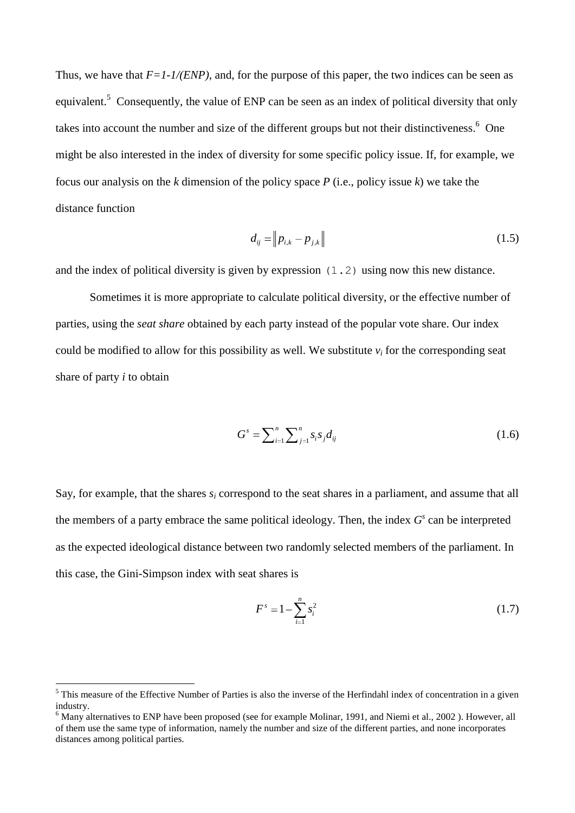Thus, we have that  $F=1-1/(ENP)$ , and, for the purpose of this paper, the two indices can be seen as equivalent.<sup>5</sup> Consequently, the value of ENP can be seen as an index of political diversity that only takes into account the number and size of the different groups but not their distinctiveness. <sup>6</sup> One might be also interested in the index of diversity for some specific policy issue. If, for example, we focus our analysis on the *k* dimension of the policy space *P* (i.e., policy issue *k*) we take the distance function

$$
d_{ij} = \|p_{i,k} - p_{j,k}\| \tag{1.5}
$$

and the index of political diversity is given by expression (1.2) using now this new distance.

Sometimes it is more appropriate to calculate political diversity, or the effective number of parties, using the *seat share* obtained by each party instead of the popular vote share. Our index could be modified to allow for this possibility as well. We substitute  $v_i$  for the corresponding seat share of party *i* to obtain

$$
G^{s} = \sum_{i=1}^{n} \sum_{j=1}^{n} s_{i} s_{j} d_{ij} \tag{1.6}
$$

Say, for example, that the shares *s<sup>i</sup>* correspond to the seat shares in a parliament, and assume that all the members of a party embrace the same political ideology. Then, the index  $G<sup>s</sup>$  can be interpreted as the expected ideological distance between two randomly selected members of the parliament. In this case, the Gini-Simpson index with seat shares is

$$
F^s = 1 - \sum_{i=1}^n s_i^2 \tag{1.7}
$$

 $<sup>5</sup>$  This measure of the Effective Number of Parties is also the inverse of the Herfindahl index of concentration in a given</sup> industry.

 $6$  Many alternatives to ENP have been proposed (see for example Molinar, 1991, and Niemi et al., 2002). However, all of them use the same type of information, namely the number and size of the different parties, and none incorporates distances among political parties.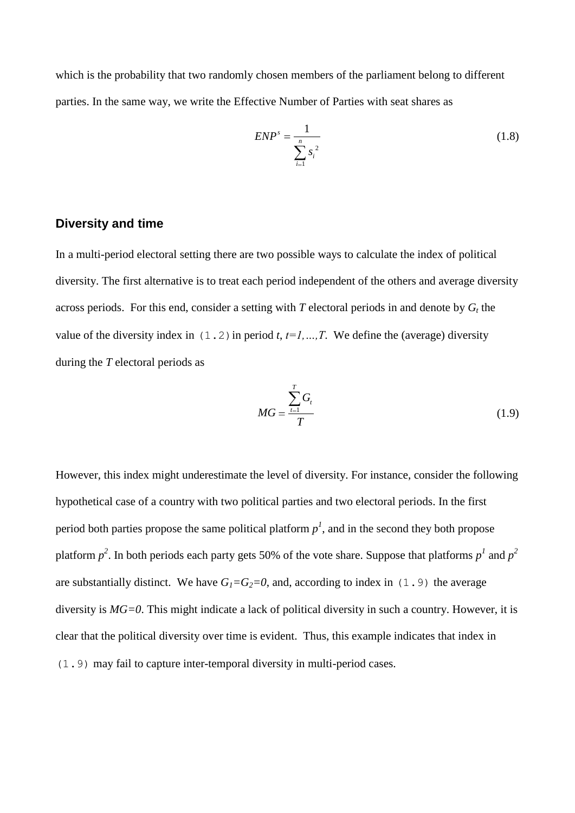which is the probability that two randomly chosen members of the parliament belong to different parties. In the same way, we write the Effective Number of Parties with seat shares as

$$
ENPs = \frac{1}{\sum_{i=1}^{n} s_i^2}
$$
 (1.8)

#### **Diversity and time**

In a multi-period electoral setting there are two possible ways to calculate the index of political diversity. The first alternative is to treat each period independent of the others and average diversity across periods. For this end, consider a setting with  $T$  electoral periods in and denote by  $G_t$  the value of the diversity index in  $(1, 2)$  in period *t*,  $t=1, ..., T$ . We define the (average) diversity during the *T* electoral periods as

$$
MG = \frac{\sum_{t=1}^{T} G_t}{T}
$$
 (1.9)

However, this index might underestimate the level of diversity. For instance, consider the following hypothetical case of a country with two political parties and two electoral periods. In the first period both parties propose the same political platform  $p<sup>1</sup>$ , and in the second they both propose platform  $p^2$ . In both periods each party gets 50% of the vote share. Suppose that platforms  $p^1$  and  $p^2$ are substantially distinct. We have  $G_1 = G_2 = 0$ , and, according to index in (1.9) the average diversity is *MG=0*. This might indicate a lack of political diversity in such a country. However, it is clear that the political diversity over time is evident. Thus, this example indicates that index in (1.9) may fail to capture inter-temporal diversity in multi-period cases.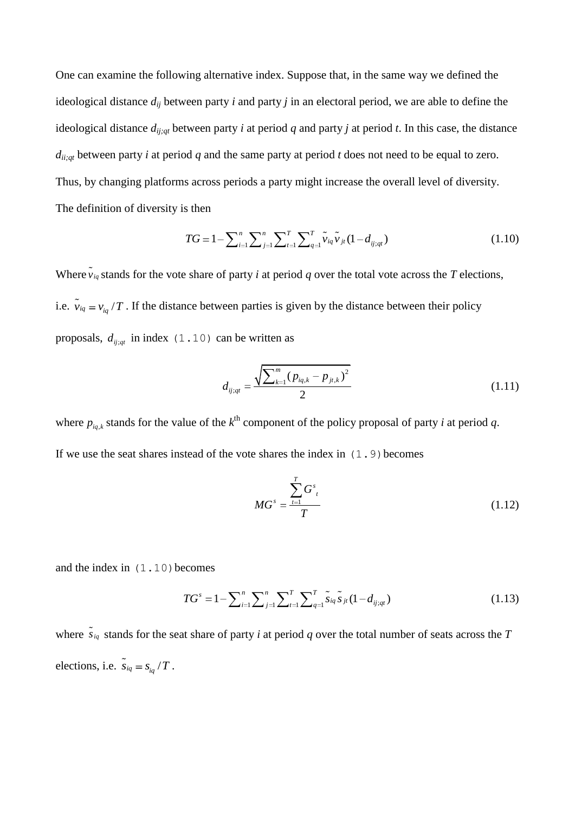One can examine the following alternative index. Suppose that, in the same way we defined the ideological distance *dij* between party *i* and party *j* in an electoral period, we are able to define the ideological distance *dij;qt* between party *i* at period *q* and party *j* at period *t*. In this case, the distance  $d_{ii;qt}$  between party *i* at period *q* and the same party at period *t* does not need to be equal to zero. Thus, by changing platforms across periods a party might increase the overall level of diversity. The definition of diversity is then

$$
TG = 1 - \sum_{i=1}^{n} \sum_{j=1}^{n} \sum_{t=1}^{T} \sum_{t=1}^{T} \tilde{\nu}_{iq} \tilde{\nu}_{jt} (1 - d_{ij;q})
$$
(1.10)

Where  $\tilde{v}_{iq}$  stands for the vote share of party *i* at period *q* over the total vote across the *T* elections, i.e.  $\tilde{v}_{iq} = v_{iq}/T$ . If the distance between parties is given by the distance between their policy proposals,  $d_{ij;qt}$  in index (1.10) can be written as

$$
d_{ij;qt} = \frac{\sqrt{\sum_{k=1}^{m} (p_{iq,k} - p_{jt,k})^2}}{2}
$$
 (1.11)

where  $p_{i,q,k}$  stands for the value of the  $k^{\text{th}}$  component of the policy proposal of party *i* at period *q*. If we use the seat shares instead of the vote shares the index in  $(1, 9)$  becomes

$$
MG^{s} = \frac{\sum_{t=1}^{T} G^{s}_{t}}{T}
$$
 (1.12)

and the index in  $(1.10)$  becomes

$$
TG^{s} = 1 - \sum_{i=1}^{n} \sum_{j=1}^{n} \sum_{l=1}^{T} \sum_{q=1}^{T} \tilde{s}_{iq} \tilde{s}_{jt} (1 - d_{ij;qt})
$$
(1.13)

where  $\tilde{s}_{iq}$  stands for the seat share of party *i* at period *q* over the total number of seats across the *T* elections, i.e.  $\tilde{s}_{iq} = s_{iq}/T$ .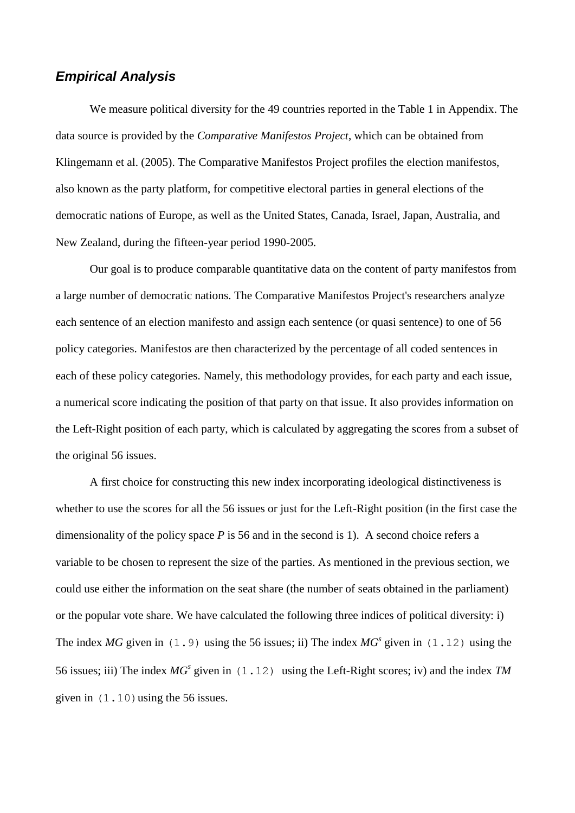## *Empirical Analysis*

We measure political diversity for the 49 countries reported in the Table 1 in Appendix. The data source is provided by the *Comparative Manifestos Project*, which can be obtained from Klingemann et al. (2005). The Comparative Manifestos Project profiles the election manifestos, also known as the party platform, for competitive electoral parties in general elections of the democratic nations of Europe, as well as the United States, Canada, Israel, Japan, Australia, and New Zealand, during the fifteen-year period 1990-2005.

Our goal is to produce comparable quantitative data on the content of party manifestos from a large number of democratic nations. The Comparative Manifestos Project's researchers analyze each sentence of an election manifesto and assign each sentence (or quasi sentence) to one of 56 policy categories. Manifestos are then characterized by the percentage of all coded sentences in each of these policy categories. Namely, this methodology provides, for each party and each issue, a numerical score indicating the position of that party on that issue. It also provides information on the Left-Right position of each party, which is calculated by aggregating the scores from a subset of the original 56 issues.

A first choice for constructing this new index incorporating ideological distinctiveness is whether to use the scores for all the 56 issues or just for the Left-Right position (in the first case the dimensionality of the policy space *P* is 56 and in the second is 1). A second choice refers a variable to be chosen to represent the size of the parties. As mentioned in the previous section, we could use either the information on the seat share (the number of seats obtained in the parliament) or the popular vote share. We have calculated the following three indices of political diversity: i) The index *MG* given in (1.9) using the 56 issues; ii) The index  $MG<sup>s</sup>$  given in (1.12) using the 56 issues; iii) The index *MG<sup>s</sup>* given in (1.12) using the Left-Right scores; iv) and the index *TM* given in  $(1.10)$  using the 56 issues.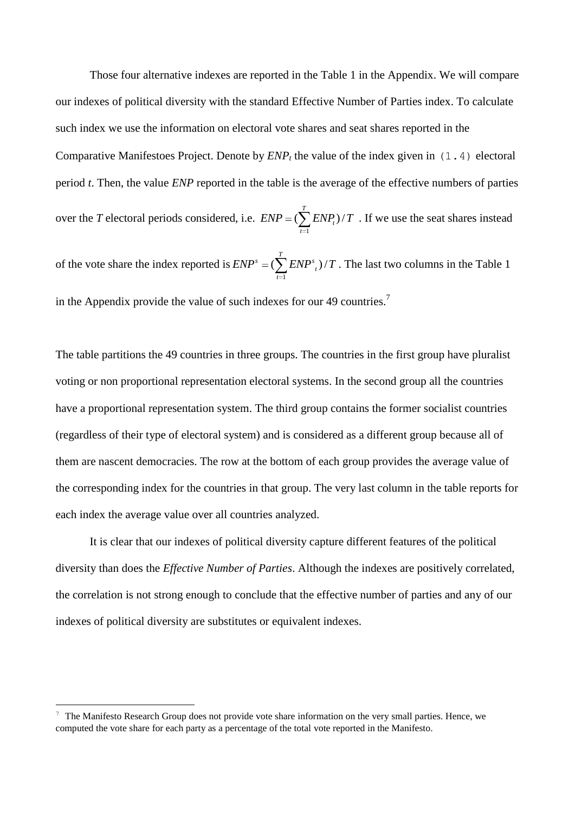Those four alternative indexes are reported in the Table 1 in the Appendix. We will compare our indexes of political diversity with the standard Effective Number of Parties index. To calculate such index we use the information on electoral vote shares and seat shares reported in the Comparative Manifestoes Project. Denote by  $ENP<sub>t</sub>$  the value of the index given in  $(1, 4)$  electoral period *t*. Then, the value *ENP* reported in the table is the average of the effective numbers of parties over the *T* electoral periods considered, i.e. 1  $(\sum^T ENP_t)$ / *t t*  $END = (\sum ENP_i)/T$ . If we use the seat shares instead of the vote share the index reported is 1  $\mathcal{S} = (\sum^T END^s_{-t})/T$ *t*  $END^s = (\sum^{\prime} END^s_{\tau})/T$ . The last two columns in the Table 1

in the Appendix provide the value of such indexes for our 49 countries.<sup>7</sup>

The table partitions the 49 countries in three groups. The countries in the first group have pluralist voting or non proportional representation electoral systems. In the second group all the countries have a proportional representation system. The third group contains the former socialist countries (regardless of their type of electoral system) and is considered as a different group because all of them are nascent democracies. The row at the bottom of each group provides the average value of the corresponding index for the countries in that group. The very last column in the table reports for each index the average value over all countries analyzed.

It is clear that our indexes of political diversity capture different features of the political diversity than does the *Effective Number of Parties*. Although the indexes are positively correlated, the correlation is not strong enough to conclude that the effective number of parties and any of our indexes of political diversity are substitutes or equivalent indexes.

 $\overline{a}$ 

The Manifesto Research Group does not provide vote share information on the very small parties. Hence, we computed the vote share for each party as a percentage of the total vote reported in the Manifesto.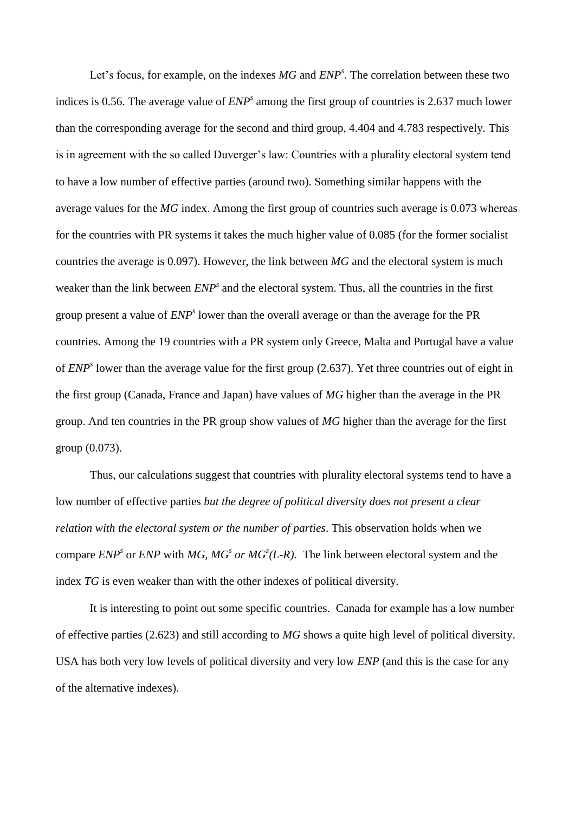Let's focus, for example, on the indexes *MG* and *ENP<sup>s</sup>* . The correlation between these two indices is 0.56. The average value of *ENP<sup>s</sup>* among the first group of countries is 2.637 much lower than the corresponding average for the second and third group, 4.404 and 4.783 respectively. This is in agreement with the so called Duverger's law: Countries with a plurality electoral system tend to have a low number of effective parties (around two). Something similar happens with the average values for the *MG* index. Among the first group of countries such average is 0.073 whereas for the countries with PR systems it takes the much higher value of 0.085 (for the former socialist countries the average is 0.097). However, the link between *MG* and the electoral system is much weaker than the link between  $ENP<sup>s</sup>$  and the electoral system. Thus, all the countries in the first group present a value of *ENP<sup>s</sup>* lower than the overall average or than the average for the PR countries. Among the 19 countries with a PR system only Greece, Malta and Portugal have a value of *ENP<sup>s</sup>* lower than the average value for the first group (2.637). Yet three countries out of eight in the first group (Canada, France and Japan) have values of *MG* higher than the average in the PR group. And ten countries in the PR group show values of *MG* higher than the average for the first group (0.073).

Thus, our calculations suggest that countries with plurality electoral systems tend to have a low number of effective parties *but the degree of political diversity does not present a clear relation with the electoral system or the number of parties*. This observation holds when we compare *ENP<sup>s</sup>* or *ENP* with *MG, MG<sup><i>s*</sup> or *MG<sup><i>s*</sup>(L-R). The link between electoral system and the index *TG* is even weaker than with the other indexes of political diversity.

It is interesting to point out some specific countries. Canada for example has a low number of effective parties (2.623) and still according to *MG* shows a quite high level of political diversity. USA has both very low levels of political diversity and very low *ENP* (and this is the case for any of the alternative indexes).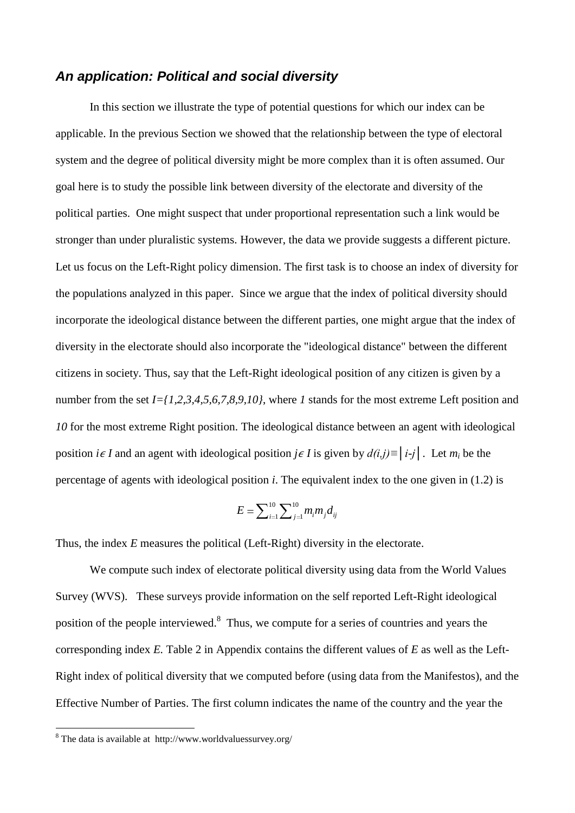## *An application: Political and social diversity*

In this section we illustrate the type of potential questions for which our index can be applicable. In the previous Section we showed that the relationship between the type of electoral system and the degree of political diversity might be more complex than it is often assumed. Our goal here is to study the possible link between diversity of the electorate and diversity of the political parties. One might suspect that under proportional representation such a link would be stronger than under pluralistic systems. However, the data we provide suggests a different picture. Let us focus on the Left-Right policy dimension. The first task is to choose an index of diversity for the populations analyzed in this paper. Since we argue that the index of political diversity should incorporate the ideological distance between the different parties, one might argue that the index of diversity in the electorate should also incorporate the "ideological distance" between the different citizens in society. Thus, say that the Left-Right ideological position of any citizen is given by a number from the set *I={1,2,3,4,5,6,7,8,9,10}*, where *I* stands for the most extreme Left position and *10* for the most extreme Right position. The ideological distance between an agent with ideological position *i*∈ *I* and an agent with ideological position *j*∈ *I* is given by  $d(i,j) \equiv |i-j|$ . Let  $m_i$  be the percentage of agents with ideological position *i*. The equivalent index to the one given in (1.2) is

$$
E = \sum_{i=1}^{10} \sum_{j=1}^{10} m_i m_j d_{ij}
$$

Thus, the index *E* measures the political (Left-Right) diversity in the electorate.

We compute such index of electorate political diversity using data from the World Values Survey (WVS). These surveys provide information on the self reported Left-Right ideological position of the people interviewed.<sup>8</sup> Thus, we compute for a series of countries and years the corresponding index *E.* Table 2 in Appendix contains the different values of *E* as well as the Left-Right index of political diversity that we computed before (using data from the Manifestos), and the Effective Number of Parties. The first column indicates the name of the country and the year the

 $\overline{a}$ 

 $8$  The data is available at http://www.worldvaluessurvey.org/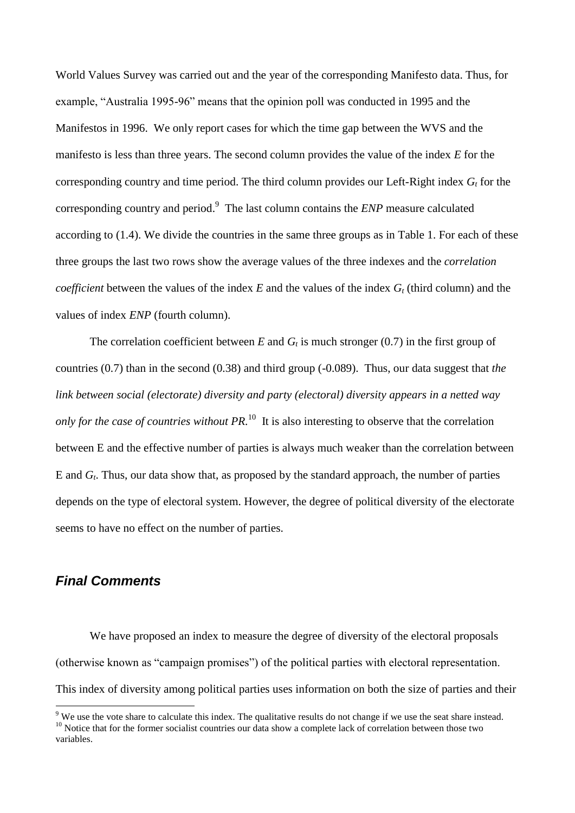World Values Survey was carried out and the year of the corresponding Manifesto data. Thus, for example, "Australia 1995-96" means that the opinion poll was conducted in 1995 and the Manifestos in 1996. We only report cases for which the time gap between the WVS and the manifesto is less than three years. The second column provides the value of the index *E* for the corresponding country and time period. The third column provides our Left-Right index *G<sup>t</sup>* for the corresponding country and period. 9 The last column contains the *ENP* measure calculated according to (1.4). We divide the countries in the same three groups as in Table 1. For each of these three groups the last two rows show the average values of the three indexes and the *correlation coefficient* between the values of the index  $E$  and the values of the index  $G_t$  (third column) and the values of index *ENP* (fourth column).

The correlation coefficient between *E* and  $G_t$  is much stronger (0.7) in the first group of countries (0.7) than in the second (0.38) and third group (-0.089). Thus, our data suggest that *the link between social (electorate) diversity and party (electoral) diversity appears in a netted way only for the case of countries without PR*.<sup>10</sup> It is also interesting to observe that the correlation between E and the effective number of parties is always much weaker than the correlation between E and *G<sup>t</sup>* . Thus, our data show that, as proposed by the standard approach, the number of parties depends on the type of electoral system. However, the degree of political diversity of the electorate seems to have no effect on the number of parties.

## *Final Comments*

 $\overline{a}$ 

We have proposed an index to measure the degree of diversity of the electoral proposals (otherwise known as "campaign promises") of the political parties with electoral representation. This index of diversity among political parties uses information on both the size of parties and their

 $9$  We use the vote share to calculate this index. The qualitative results do not change if we use the seat share instead. <sup>10</sup> Notice that for the former socialist countries our data show a complete lack of correlation between those two variables.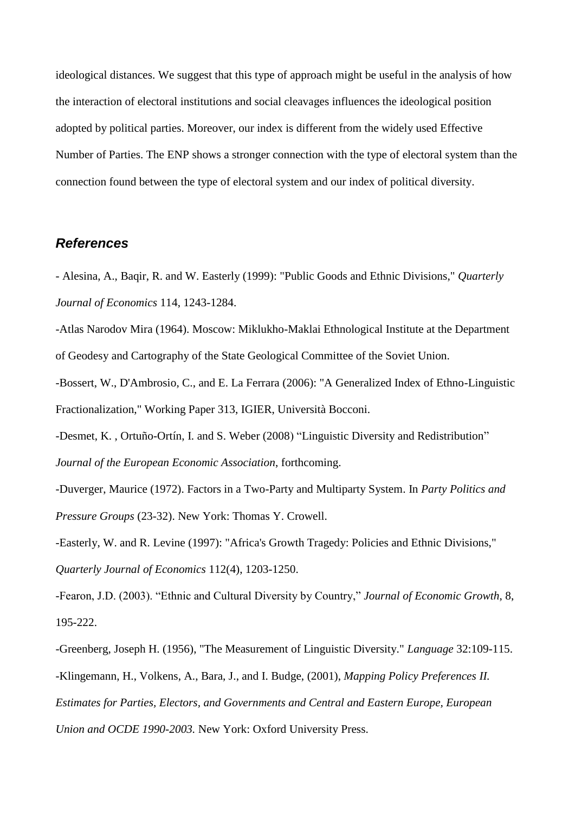ideological distances. We suggest that this type of approach might be useful in the analysis of how the interaction of electoral institutions and social cleavages influences the ideological position adopted by political parties. Moreover, our index is different from the widely used Effective Number of Parties. The ENP shows a stronger connection with the type of electoral system than the connection found between the type of electoral system and our index of political diversity.

## *References*

- Alesina, A., Baqir, R. and W. Easterly (1999): "Public Goods and Ethnic Divisions," *Quarterly Journal of Economics* 114, 1243-1284.

-Atlas Narodov Mira (1964). Moscow: Miklukho-Maklai Ethnological Institute at the Department of Geodesy and Cartography of the State Geological Committee of the Soviet Union.

-Bossert, W., D'Ambrosio, C., and E. La Ferrara (2006): "A Generalized Index of Ethno-Linguistic Fractionalization," Working Paper 313, IGIER, Università Bocconi.

-Desmet, K. , Ortuño-Ortín, I. and S. Weber (2008) "Linguistic Diversity and Redistribution" *Journal of the European Economic Association*, forthcoming.

-Duverger, Maurice (1972). Factors in a Two-Party and Multiparty System. In *Party Politics and Pressure Groups* (23-32). New York: Thomas Y. Crowell.

-Easterly, W. and R. Levine (1997): "Africa's Growth Tragedy: Policies and Ethnic Divisions," *Quarterly Journal of Economics* 112(4), 1203-1250.

-Fearon, J.D. (2003). "Ethnic and Cultural Diversity by Country," *Journal of Economic Growth*, 8, 195-222.

-Greenberg, Joseph H. (1956), "The Measurement of Linguistic Diversity." *Language* 32:109-115. -Klingemann, H., Volkens, A., Bara, J., and I. Budge, (2001), *Mapping Policy Preferences II. Estimates for Parties, Electors, and Governments and Central and Eastern Europe, European Union and OCDE 1990-2003.* New York: Oxford University Press.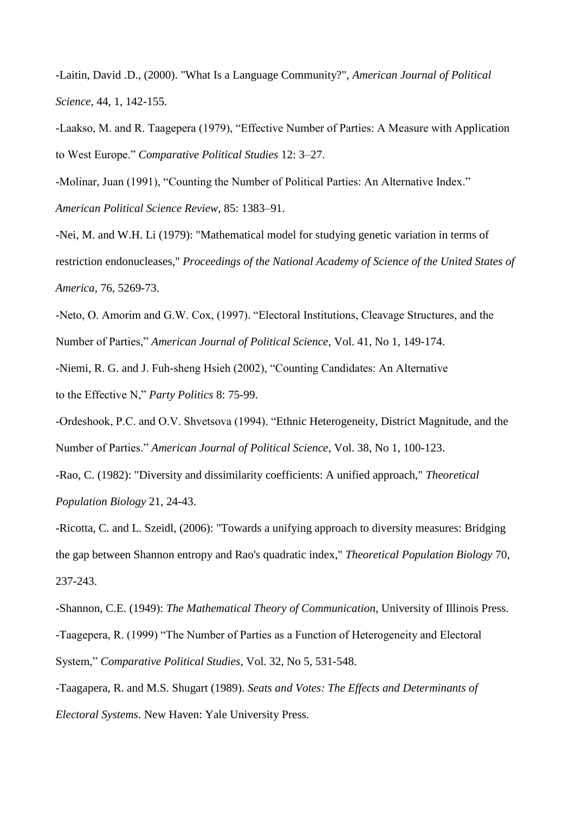-Laitin, David .D., (2000). "What Is a Language Community?", *American Journal of Political Science*, 44, 1, 142-155.

-Laakso, M. and R. Taagepera (1979), "Effective Number of Parties: A Measure with Application to West Europe." *Comparative Political Studies* 12: 3–27.

-Molinar, Juan (1991), "Counting the Number of Political Parties: An Alternative Index." *American Political Science Review,* 85: 1383–91.

-Nei, M. and W.H. Li (1979): "Mathematical model for studying genetic variation in terms of restriction endonucleases," *Proceedings of the National Academy of Science of the United States of America*, 76, 5269-73.

-Neto, O. Amorim and G.W. Cox, (1997). "Electoral Institutions, Cleavage Structures, and the Number of Parties," *American Journal of Political Science*, Vol. 41, No 1, 149-174.

-Niemi, R. G. and J. Fuh-sheng Hsieh (2002), "Counting Candidates: An Alternative to the Effective N," *Party Politics* 8: 75-99.

-Ordeshook, P.C. and O.V. Shvetsova (1994). "Ethnic Heterogeneity, District Magnitude, and the Number of Parties." *American Journal of Political Science*, Vol. 38, No 1, 100-123.

-Rao, C. (1982): "Diversity and dissimilarity coefficients: A unified approach," *Theoretical* 

*Population Biology* 21, 24-43.

-Ricotta, C. and L. Szeidl, (2006): "Towards a unifying approach to diversity measures: Bridging the gap between Shannon entropy and Rao's quadratic index," *Theoretical Population Biology* 70, 237-243.

-Shannon, C.E. (1949): *The Mathematical Theory of Communication*, University of Illinois Press. -Taagepera, R. (1999) "The Number of Parties as a Function of Heterogeneity and Electoral System," *Comparative Political Studies*, Vol. 32, No 5, 531-548.

-Taagapera, R. and M.S. Shugart (1989). *Seats and Votes: The Effects and Determinants of Electoral Systems*. New Haven: Yale University Press.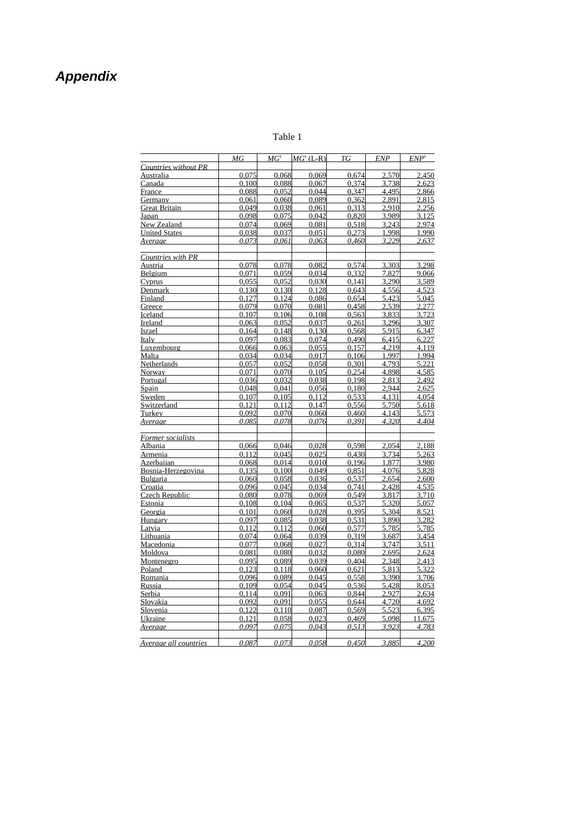## *Appendix*

#### Table 1

|                       | MG             | $MG^{s}$       | $MGs$ (L-R)    | TG             | <b>ENP</b>     | $\textit{ENP}^s$ |
|-----------------------|----------------|----------------|----------------|----------------|----------------|------------------|
| Countries without PR  |                |                |                |                |                |                  |
| Australia             | 0,075          | 0,068          | 0,069          | 0,674          | 2,570          | 2,450            |
| Canada                | 0.100          | 0.088          | 0.067          | 0.374          | 3.738          | 2.623            |
| France                | 0.088          | 0.052          | 0.044          | 0.347          | 4.495          | 2.866            |
| Germany               | 0,061          | 0,060          | 0,089          | 0,362          | 2,891          | 2,815            |
| <b>Great Britain</b>  | 0.049          | 0.038          | 0.061          | 0.313          | 2.910          | 2.256            |
| Japan                 | 0.098          | 0.075          | 0.042          | 0.820          | 3.989          | 3.125            |
| New Zealand           | 0,074          | 0.069          | 0,081          | 0,518          | 3,243          | 2,974            |
| <b>United States</b>  | 0.038          | 0.037          | 0.051          | 0.273          | 1,998          | 1,990            |
| Average               | 0.073          | 0.061          | 0.063          | 0.460          | 3.229          | 2.637            |
| Countries with PR     |                |                |                |                |                |                  |
| Austria               | 0.078          | 0.078          | 0.082          | 0.574          | 3.303          | 3.298            |
| Belgium               | 0.071          | 0.059          | 0.034          | 0.332          | 7.827          | 9.066            |
| $C$ <i>yprus</i>      | 0.055          | 0.052          | 0.030          | 0.141          | 3.290          | 3.589            |
| Denmark               | 0.130          | 0.130          | 0.128          | 0.643          | 4.556          | 4.523            |
| Finland               | 0,127          | 0,124          | 0,086          | 0,654          | 5,423          | 5,045            |
| Greece                | 0,079          | 0,070          | 0,081          | 0,458          | 2,539          | 2,277            |
| Iceland               | 0.107          | 0.106          | 0.108          | 0.563          | 3.833          | 3.723            |
| Ireland               | 0.063          | 0.052          | 0.037          | 0.261          | 3.296          | 3.307            |
| Israel                | 0,164          | 0,148          | 0,130          | 0,568          | 5,915          | 6,347            |
| Italy                 | 0.097          | 0.083          | 0.074          | 0.490          | 6.415          | 6.227            |
| Luxembourg            | 0.066          | 0.063          | 0.055          | 0.157          | 4.219          | 4.119            |
| Malta                 | 0,034          | 0,034          | 0,017          | 0,106          | 1,997          | 1,994            |
| Netherlands           | 0.057          | 0.052          | 0.058          | 0.301          | 4.793          | 5.221            |
| Norway                | 0.071          | 0.070          | 0.105          | 0.254          | 4.898          | 4.585            |
| Portugal              | 0,036          | 0,032          | 0,038          | 0,198          | 2,813          | 2,492            |
| Spain                 | 0,048          | 0,041          | 0,056          | 0,180          | 2,944          | 2,625            |
| Sweden                | 0.107          | 0.105          | 0.112          | 0.533          | 4.131          | 4.054            |
| Switzerland           | 0.121          | 0.112          | 0.147          | 0.556          | 5.750          | 5.618            |
| Turkey                | 0.092          | 0.070          | 0.060          | 0.460          | 4.143          | 5.573            |
| Average               | 0.085          | 0.078          | 0.076          | 0.391          | 4.320          | 4.404            |
| Former socialists     |                |                |                |                |                |                  |
| Albania               | 0.066          | 0.046          | 0.028          | 0.598          | 2.054          | 2.188            |
| Armenia               | 0.112          | 0,045          | 0,025          | 0,430          | 3,734          | 5,263            |
| <b>Azerbaiian</b>     | 0.068          | 0.014          | 0.010          | 0.196          | 1.877          | 3.980            |
| Bosnia-Herzegovina    | 0.135          | 0.100          | 0.049          | 0.851          | 4.076          | 5.828            |
| <b>Bulgaria</b>       | 0,060          | 0,058          | 0,036          | 0,537          | 2,654          | 2,600            |
| Croatia               | 0,096          | 0,045          | 0,034          | 0,741          | 2,428          | 4,535            |
| Czech Republic        | 0.080          | 0.078          | 0.069          | 0.549          | 3.817          | 3.710            |
| Estonia               | 0,108          | 0,104          | 0,065          | 0,537          | 5,320          | 5,057            |
| Georgia               | 0,101          | 0,060          | 0,028          | 0,395          | 5,304          | 8,521            |
| Hungary               | 0.097          | 0.085          | 0.038          | 0.531<br>0.577 | 3.890          | 3.282<br>5,785   |
| <u>Latvia</u>         | 0,112          | 0,112          | 0,060          | 0,319          | 5,785          |                  |
| Lithuania             | 0,074          | 0,064<br>0.068 | 0,039<br>0.027 |                | 3,687          | 3,454            |
| Macedonia<br>Moldova  | 0.077<br>0.081 | 0.080          | 0.032          | 0.314<br>0.080 | 3.747<br>2.695 | 3.511<br>2.624   |
|                       | 0,095          | 0,089          | 0,039          | 0,404          | 2,348          | 2,413            |
| Montenegro            | 0.123          | 0.118          |                | 0.621          | 5.813          | 5.322            |
| Poland<br>Romania     | 0,096          | 0,089          | 0.060<br>0,045 | 0,558          | 3,390          | 3,706            |
| Russia                | 0.109          | 0.054          | 0.045          | 0.536          | 5.428          | 8.053            |
| Serbia                | 0.114          | 0,091          | 0,063          | 0,844          | 2.927          | 2,634            |
| Slovakia              | 0.092          | 0.091          | 0.055          | 0.644          | 4.720          | 4.692            |
| Slovenia              | 0,122          | 0,110          | 0,087          | 0,569          | 5,523          | 6.395            |
| Ukraine               | 0.121          | 0.058          | 0.023          | 0.469          | 5.098          | 11.675           |
| Average               | 0.097          | 0.075          | 0.043          | 0.513          | 3.923          | 4.783            |
|                       |                |                |                |                |                |                  |
| Average all countries | 0.087          | 0.073          | 0.058          | 0.450          | 3.885          | 4.200            |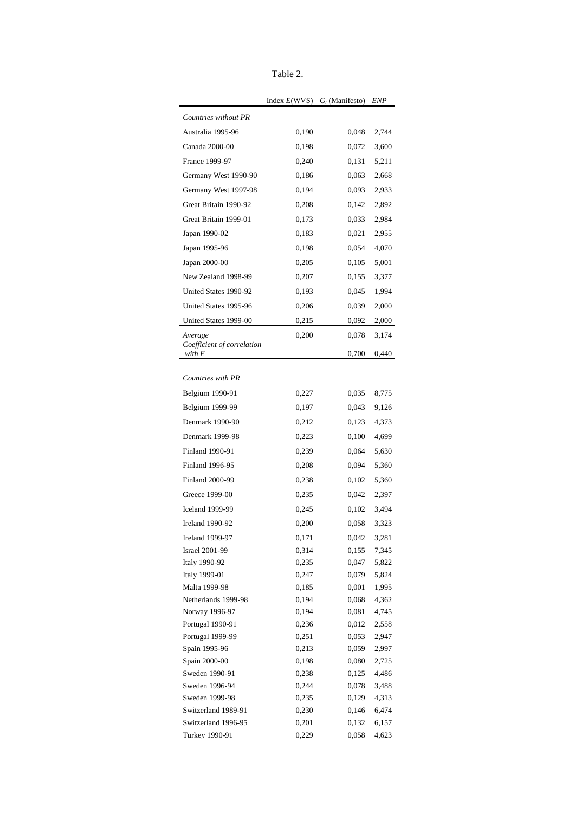| anie |  |
|------|--|
|------|--|

|                                                 | Index $E(WVS)$ | $G_t$ (Manifesto) | ENP            |
|-------------------------------------------------|----------------|-------------------|----------------|
| Countries without PR                            |                |                   |                |
| Australia 1995-96                               | 0,190          | 0,048             | 2,744          |
| Canada 2000-00                                  | 0,198          | 0,072             | 3,600          |
| France 1999-97                                  | 0,240          | 0,131             | 5,211          |
| Germany West 1990-90                            | 0,186          | 0,063             | 2,668          |
| Germany West 1997-98                            | 0,194          | 0,093             | 2,933          |
| Great Britain 1990-92                           | 0,208          | 0,142             | 2,892          |
| Great Britain 1999-01                           | 0,173          | 0,033             | 2,984          |
| Japan 1990-02                                   | 0,183          | 0,021             | 2,955          |
| Japan 1995-96                                   | 0,198          | 0,054             | 4,070          |
|                                                 |                |                   |                |
| Japan 2000-00                                   | 0,205          | 0,105             | 5,001          |
| New Zealand 1998-99                             | 0,207          | 0,155             | 3,377          |
| United States 1990-92                           | 0,193          | 0,045             | 1,994          |
| United States 1995-96                           | 0,206          | 0,039             | 2,000          |
| United States 1999-00                           | 0,215          | 0,092             | 2,000          |
| Average                                         | 0,200          | 0,078             | 3,174          |
| Coefficient of correlation<br>with E            |                | 0,700             | 0,440          |
|                                                 |                |                   |                |
| Countries with PR                               |                |                   |                |
| Belgium 1990-91                                 | 0,227          | 0,035             | 8,775          |
| Belgium 1999-99                                 | 0,197          | 0,043             | 9,126          |
| Denmark 1990-90                                 | 0,212          | 0,123             | 4,373          |
| Denmark 1999-98                                 | 0,223          | 0,100             | 4,699          |
| Finland 1990-91                                 | 0,239          | 0,064             | 5,630          |
| Finland 1996-95                                 | 0,208          | 0,094             | 5,360          |
| <b>Finland 2000-99</b>                          | 0,238          | 0,102             | 5,360          |
| Greece 1999-00                                  | 0,235          | 0,042             | 2,397          |
| <b>Iceland 1999-99</b>                          | 0,245          | 0,102             | 3,494          |
| <b>Ireland 1990-92</b>                          | 0,200          | 0,058             | 3,323          |
|                                                 |                |                   |                |
| <b>Ireland 1999-97</b><br><b>Israel 2001-99</b> | 0,171<br>0,314 | 0,042<br>0,155    | 3,281<br>7,345 |
| Italy 1990-92                                   | 0,235          | 0,047             | 5,822          |
| Italy 1999-01                                   | 0,247          | 0,079             | 5,824          |
| Malta 1999-98                                   | 0,185          | 0,001             | 1,995          |
| Netherlands 1999-98                             | 0,194          | 0,068             | 4,362          |
| Norway 1996-97                                  | 0,194          | 0,081             | 4,745          |
| Portugal 1990-91                                | 0,236          | 0,012             | 2,558          |
| Portugal 1999-99                                | 0,251          | 0,053             | 2,947          |
| Spain 1995-96                                   | 0,213          | 0,059             | 2,997          |
| Spain 2000-00                                   | 0,198          | 0,080             | 2,725          |
| Sweden 1990-91                                  | 0,238          | 0,125             | 4,486          |
| Sweden 1996-94                                  | 0,244          | 0,078             | 3,488          |
| Sweden 1999-98                                  | 0,235          | 0,129             | 4,313          |
| Switzerland 1989-91                             | 0,230          | 0,146             | 6,474          |
| Switzerland 1996-95                             | 0,201          | 0,132             | 6,157          |
| Turkey 1990-91                                  | 0,229          | 0,058             | 4,623          |